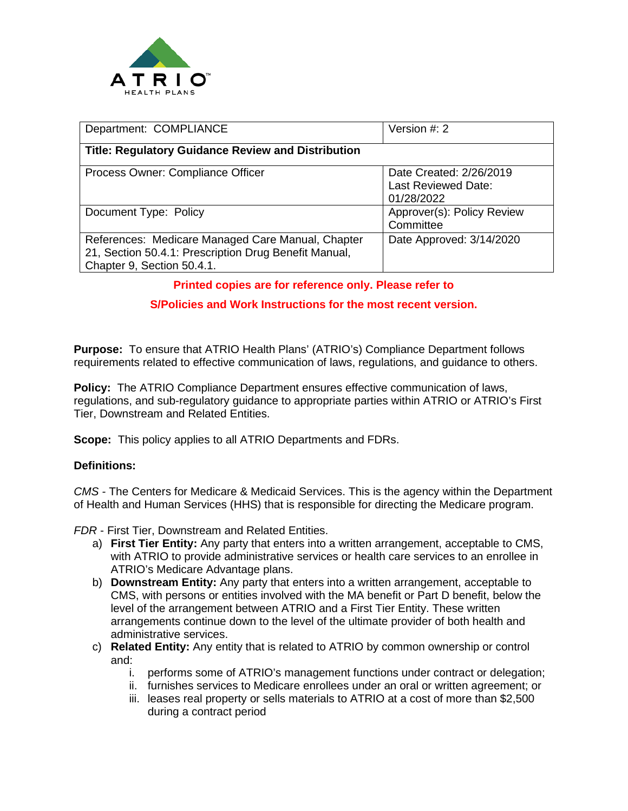

| Department: COMPLIANCE                                                                                                                   | Version #: 2                                                 |
|------------------------------------------------------------------------------------------------------------------------------------------|--------------------------------------------------------------|
| <b>Title: Regulatory Guidance Review and Distribution</b>                                                                                |                                                              |
| Process Owner: Compliance Officer                                                                                                        | Date Created: 2/26/2019<br>Last Reviewed Date:<br>01/28/2022 |
| Document Type: Policy                                                                                                                    | Approver(s): Policy Review<br>Committee                      |
| References: Medicare Managed Care Manual, Chapter<br>21, Section 50.4.1: Prescription Drug Benefit Manual,<br>Chapter 9, Section 50.4.1. | Date Approved: 3/14/2020                                     |

### **Printed copies are for reference only. Please refer to**

# **S/Policies and Work Instructions for the most recent version.**

**Purpose:** To ensure that ATRIO Health Plans' (ATRIO's) Compliance Department follows requirements related to effective communication of laws, regulations, and guidance to others.

**Policy:** The ATRIO Compliance Department ensures effective communication of laws, regulations, and sub-regulatory guidance to appropriate parties within ATRIO or ATRIO's First Tier, Downstream and Related Entities.

**Scope:** This policy applies to all ATRIO Departments and FDRs.

#### **Definitions:**

*CMS -* The Centers for Medicare & Medicaid Services. This is the agency within the Department of Health and Human Services (HHS) that is responsible for directing the Medicare program.

*FDR* - First Tier, Downstream and Related Entities.

- a) **First Tier Entity:** Any party that enters into a written arrangement, acceptable to CMS, with ATRIO to provide administrative services or health care services to an enrollee in ATRIO's Medicare Advantage plans.
- b) **Downstream Entity:** Any party that enters into a written arrangement, acceptable to CMS, with persons or entities involved with the MA benefit or Part D benefit, below the level of the arrangement between ATRIO and a First Tier Entity. These written arrangements continue down to the level of the ultimate provider of both health and administrative services.
- c) **Related Entity:** Any entity that is related to ATRIO by common ownership or control and:
	- i. performs some of ATRIO's management functions under contract or delegation;
	- ii. furnishes services to Medicare enrollees under an oral or written agreement; or
	- iii. leases real property or sells materials to ATRIO at a cost of more than \$2,500 during a contract period